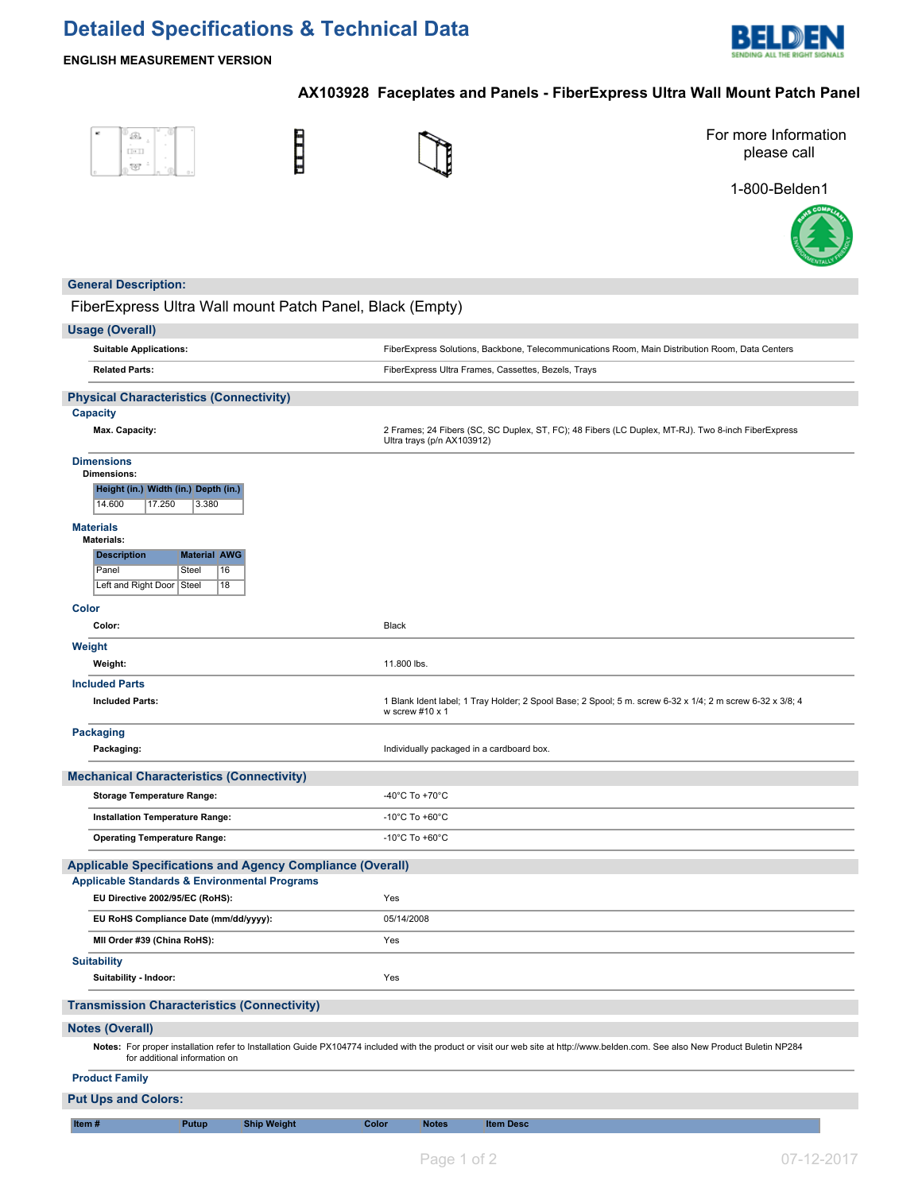## **Detailed Specifications & Technical Data**



#### **ENGLISH MEASUREMENT VERSION**

### **AX103928 Faceplates and Panels - FiberExpress Ultra Wall Mount Patch Panel**

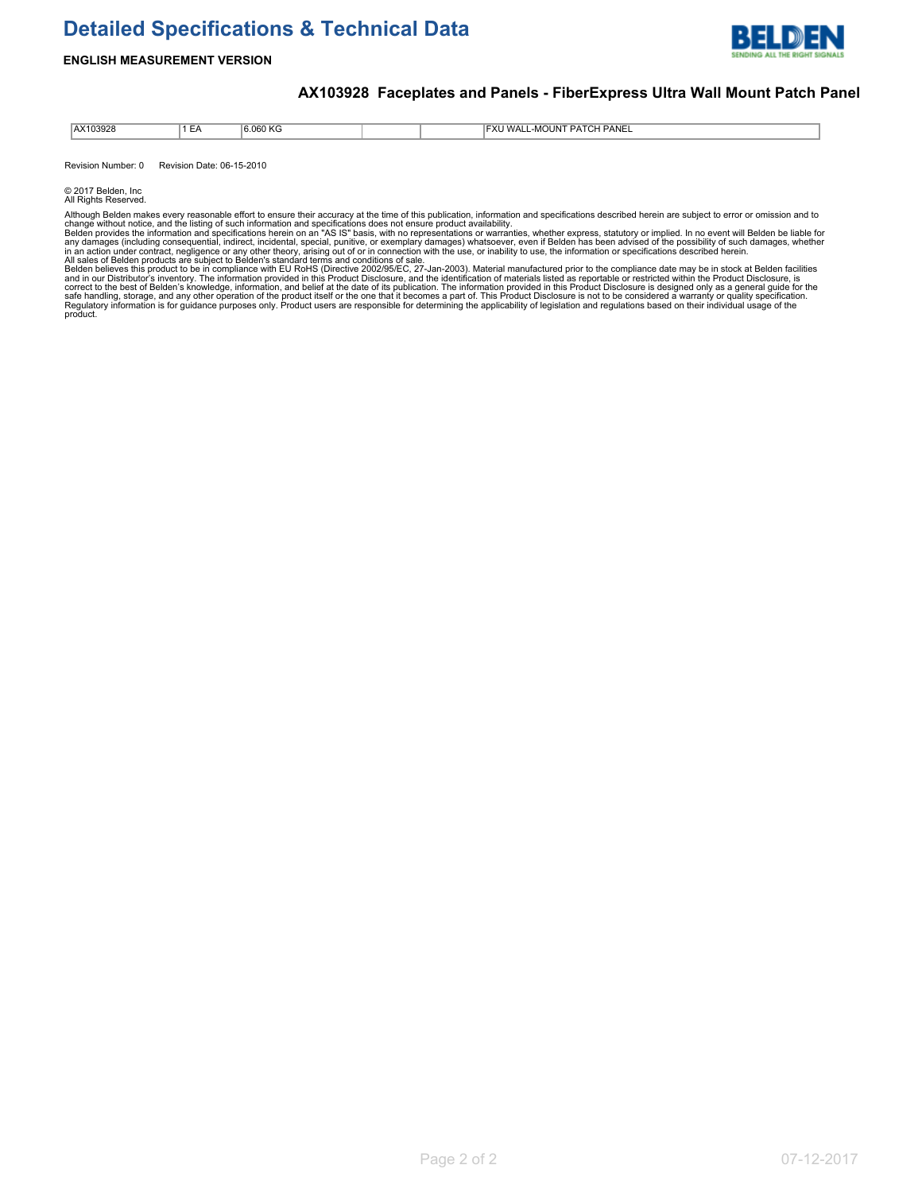# **Detailed Specifications & Technical Data**



#### **ENGLISH MEASUREMENT VERSION**

### **AX103928 Faceplates and Panels - FiberExpress Ultra Wall Mount Patch Panel**

| AX103928<br>. | - -<br>$-$<br>-- | e nen<br>0.UOU NG<br>. |  | PANEL<br><b>FXI</b><br><b>MOUNT</b><br>WAI I<br>$-\mu$ .<br>$\sim$ |
|---------------|------------------|------------------------|--|--------------------------------------------------------------------|

Revision Number: 0 Revision Date: 06-15-2010

© 2017 Belden, Inc All Rights Reserved.

Although Belden makes every reasonable effort to ensure their accuracy at the time of this publication, information and specifications described herein are subject to error or omission and to<br>Although Belden provides the i